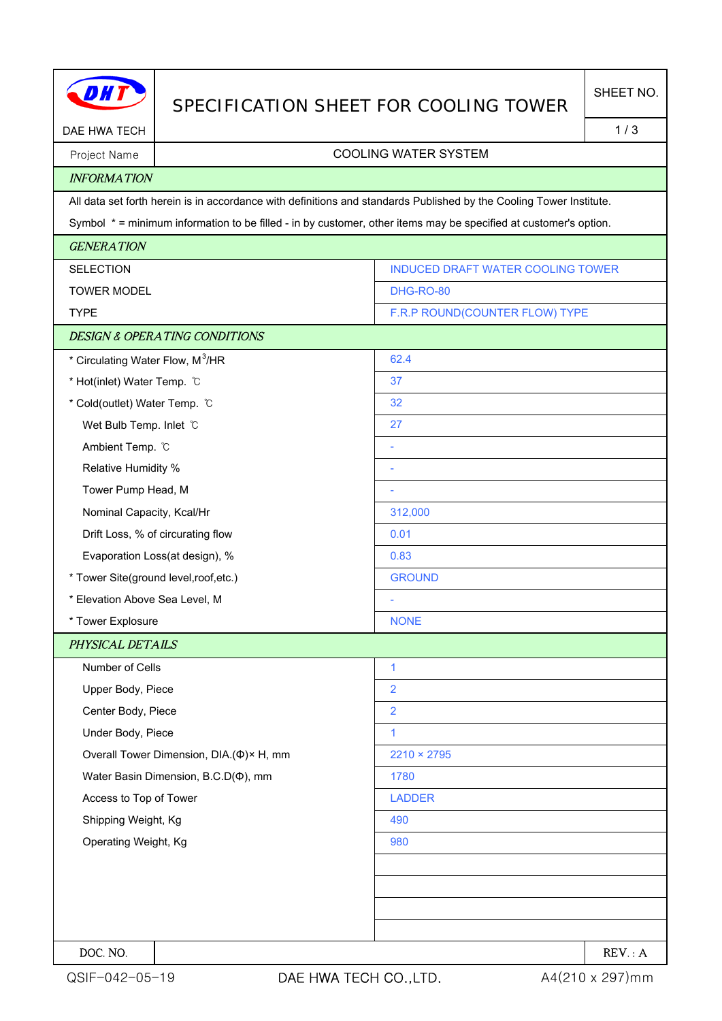|                                              |                                          | SPECIFICATION SHEET FOR COOLING TOWER                                                                               | SHEET NO. |  |  |
|----------------------------------------------|------------------------------------------|---------------------------------------------------------------------------------------------------------------------|-----------|--|--|
| DAE HWA TECH                                 |                                          | 1/3                                                                                                                 |           |  |  |
| Project Name                                 | <b>COOLING WATER SYSTEM</b>              |                                                                                                                     |           |  |  |
| <b>INFORMATION</b>                           |                                          |                                                                                                                     |           |  |  |
|                                              |                                          | All data set forth herein is in accordance with definitions and standards Published by the Cooling Tower Institute. |           |  |  |
|                                              |                                          | Symbol * = minimum information to be filled - in by customer, other items may be specified at customer's option.    |           |  |  |
| <b>GENERATION</b>                            |                                          |                                                                                                                     |           |  |  |
| <b>SELECTION</b>                             |                                          | INDUCED DRAFT WATER COOLING TOWER                                                                                   |           |  |  |
| <b>TOWER MODEL</b>                           |                                          | <b>DHG-RO-80</b>                                                                                                    |           |  |  |
| <b>TYPE</b>                                  |                                          | F.R.P ROUND(COUNTER FLOW) TYPE                                                                                      |           |  |  |
|                                              | <b>DESIGN &amp; OPERATING CONDITIONS</b> |                                                                                                                     |           |  |  |
| * Circulating Water Flow, M <sup>3</sup> /HR |                                          | 62.4                                                                                                                |           |  |  |
| * Hot(inlet) Water Temp. C                   |                                          | 37                                                                                                                  |           |  |  |
| * Cold(outlet) Water Temp. °C                |                                          | 32                                                                                                                  |           |  |  |
| Wet Bulb Temp. Inlet C                       |                                          | 27                                                                                                                  |           |  |  |
| Ambient Temp. °C                             |                                          |                                                                                                                     |           |  |  |
| Relative Humidity %                          |                                          |                                                                                                                     |           |  |  |
| Tower Pump Head, M                           |                                          |                                                                                                                     |           |  |  |
| Nominal Capacity, Kcal/Hr                    |                                          | 312,000                                                                                                             |           |  |  |
| Drift Loss, % of circurating flow            |                                          | 0.01                                                                                                                |           |  |  |
| Evaporation Loss(at design), %               |                                          | 0.83                                                                                                                |           |  |  |
| * Tower Site(ground level, roof, etc.)       |                                          | <b>GROUND</b>                                                                                                       |           |  |  |
| * Elevation Above Sea Level, M               |                                          |                                                                                                                     |           |  |  |
| * Tower Explosure                            |                                          | <b>NONE</b>                                                                                                         |           |  |  |
| PHYSICAL DETAILS                             |                                          |                                                                                                                     |           |  |  |
| Number of Cells                              |                                          | $\mathbf{1}$                                                                                                        |           |  |  |
| Upper Body, Piece                            |                                          | $\overline{2}$                                                                                                      |           |  |  |
| Center Body, Piece                           |                                          | $\overline{2}$                                                                                                      |           |  |  |
| Under Body, Piece                            |                                          | 1                                                                                                                   |           |  |  |
|                                              | Overall Tower Dimension, DIA.(Φ)× H, mm  | $2210 \times 2795$                                                                                                  |           |  |  |
| Water Basin Dimension, B.C.D( $\Phi$ ), mm   |                                          | 1780                                                                                                                |           |  |  |
| Access to Top of Tower                       |                                          | <b>LADDER</b>                                                                                                       |           |  |  |
| Shipping Weight, Kg                          |                                          | 490                                                                                                                 |           |  |  |
| Operating Weight, Kg                         |                                          | 980                                                                                                                 |           |  |  |
|                                              |                                          |                                                                                                                     |           |  |  |
|                                              |                                          |                                                                                                                     |           |  |  |
|                                              |                                          |                                                                                                                     |           |  |  |
|                                              |                                          |                                                                                                                     |           |  |  |
| DOC. NO.                                     |                                          |                                                                                                                     | REV: A    |  |  |

H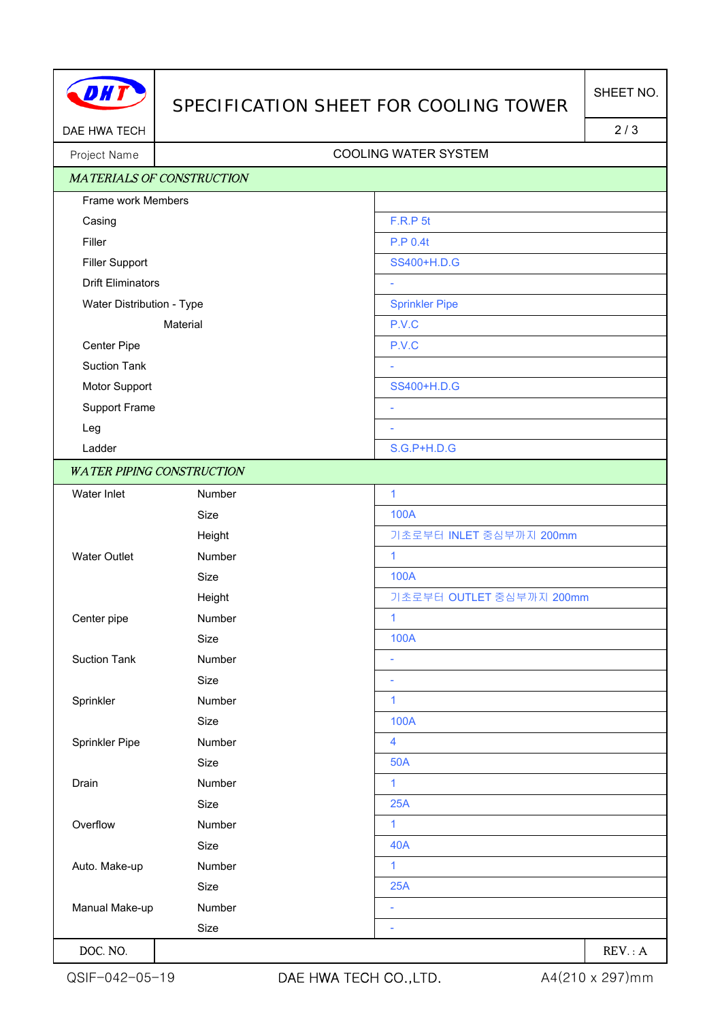

## SPECIFICATION SHEET FOR COOLING TOWER

DAE HWA TECH 2/3

## Project Name | Name | Name | Name | Name | Name | Name | Name | Name | Name | Name | Name | Name | Name | Name | Name | Name | Name | Name | Name | Name | Name | Name | Name | Name | Name | Name | Name | Name | Name | Name

|                           | <b>MATERIALS OF CONSTRUCTION</b> |                          |
|---------------------------|----------------------------------|--------------------------|
| Frame work Members        |                                  |                          |
| Casing                    |                                  | F.R.P 5t                 |
| Filler                    |                                  | P.P 0.4t                 |
| <b>Filler Support</b>     |                                  | SS400+H.D.G              |
| <b>Drift Eliminators</b>  |                                  |                          |
| Water Distribution - Type |                                  | <b>Sprinkler Pipe</b>    |
| Material                  |                                  | P.V.C                    |
| Center Pipe               |                                  | P.V.C                    |
| <b>Suction Tank</b>       |                                  | ÷.                       |
| Motor Support             |                                  | SS400+H.D.G              |
| Support Frame             |                                  | ÷,                       |
| Leg                       |                                  | ÷                        |
| Ladder                    |                                  | S.G.P+H.D.G              |
|                           | <b>WATER PIPING CONSTRUCTION</b> |                          |
| Water Inlet               | Number                           | $\mathbf{1}$             |
|                           | Size                             | <b>100A</b>              |
|                           | Height                           | 기초로부터 INLET 중심부까지 200mm  |
| <b>Water Outlet</b>       | Number                           | $\mathbf{1}$             |
|                           | Size                             | <b>100A</b>              |
|                           | Height                           | 기초로부터 OUTLET 중심부까지 200mm |
| Center pipe               | Number                           | $\mathbf{1}$             |
|                           | Size                             | <b>100A</b>              |
| <b>Suction Tank</b>       | Number                           | ÷,                       |
|                           | Size                             | ٠                        |
| Sprinkler                 | Number                           | $\mathbf{1}$             |
|                           | Size                             | 100A                     |
| Sprinkler Pipe            | Number                           | 4                        |
|                           | Size                             | <b>50A</b>               |
| Drain                     | Number                           | 1                        |
|                           | Size                             | 25A                      |
| Overflow                  | Number                           | $\mathbf{1}$             |
|                           | Size                             | <b>40A</b>               |
| Auto. Make-up             | Number                           | $\mathbf{1}$             |
|                           | Size                             | 25A                      |
| Manual Make-up            | Number                           | ÷                        |
|                           | Size                             |                          |
| DOC. NO.                  |                                  | REV: A                   |